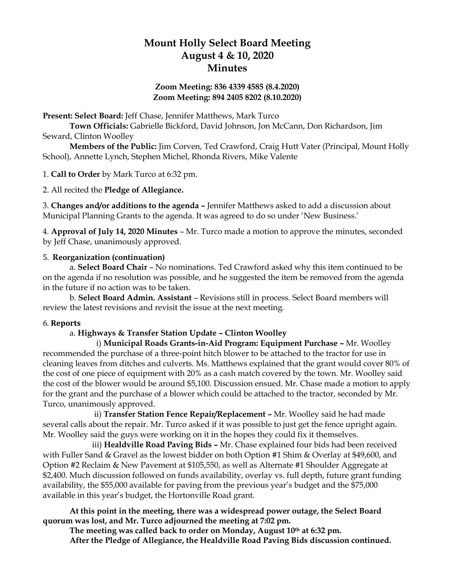# **Mount Holly Select Board Meeting August 4 & 10, 2020 Minutes**

## **Zoom Meeting: 836 4339 4585 (8.4.2020) Zoom Meeting: 894 2405 8202 (8.10.2020)**

**Present: Select Board:** Jeff Chase, Jennifer Matthews, Mark Turco

**Town Officials:** Gabrielle Bickford, David Johnson, Jon McCann, Don Richardson, Jim Seward, Clinton Woolley

**Members of the Public:** Jim Corven, Ted Crawford, Craig Hutt Vater (Principal, Mount Holly School), Annette Lynch, Stephen Michel, Rhonda Rivers, Mike Valente

1. **Call to Order** by Mark Turco at 6:32 pm.

2. All recited the **Pledge of Allegiance.**

3. **Changes and/or additions to the agenda –** Jennifer Matthews asked to add a discussion about Municipal Planning Grants to the agenda. It was agreed to do so under 'New Business.'

4. **Approval of July 14, 2020 Minutes** – Mr. Turco made a motion to approve the minutes, seconded by Jeff Chase, unanimously approved.

#### 5. **Reorganization (continuation)**

a. **Select Board Chair** – No nominations. Ted Crawford asked why this item continued to be on the agenda if no resolution was possible, and he suggested the item be removed from the agenda in the future if no action was to be taken.

b. **Select Board Admin. Assistant** – Revisions still in process. Select Board members will review the latest revisions and revisit the issue at the next meeting.

#### 6. **Reports**

## a. **Highways & Transfer Station Update – Clinton Woolley**

i) **Municipal Roads Grants-in-Aid Program: Equipment Purchase –** Mr. Woolley recommended the purchase of a three-point hitch blower to be attached to the tractor for use in cleaning leaves from ditches and culverts. Ms. Matthews explained that the grant would cover 80% of the cost of one piece of equipment with 20% as a cash match covered by the town. Mr. Woolley said the cost of the blower would be around \$5,100. Discussion ensued. Mr. Chase made a motion to apply for the grant and the purchase of a blower which could be attached to the tractor, seconded by Mr. Turco, unanimously approved.

 ii) **Transfer Station Fence Repair/Replacement –** Mr. Woolley said he had made several calls about the repair. Mr. Turco asked if it was possible to just get the fence upright again. Mr. Woolley said the guys were working on it in the hopes they could fix it themselves.

 iii) **Healdville Road Paving Bids –** Mr. Chase explained four bids had been received with Fuller Sand & Gravel as the lowest bidder on both Option #1 Shim & Overlay at \$49,600, and Option #2 Reclaim & New Pavement at \$105,550, as well as Alternate #1 Shoulder Aggregate at \$2,400. Much discussion followed on funds availability, overlay vs. full depth, future grant funding availability, the \$55,000 available for paving from the previous year's budget and the \$75,000 available in this year's budget, the Hortonville Road grant.

**At this point in the meeting, there was a widespread power outage, the Select Board quorum was lost, and Mr. Turco adjourned the meeting at 7:02 pm.**

**The meeting was called back to order on Monday, August 10th at 6:32 pm. After the Pledge of Allegiance, the Healdville Road Paving Bids discussion continued.**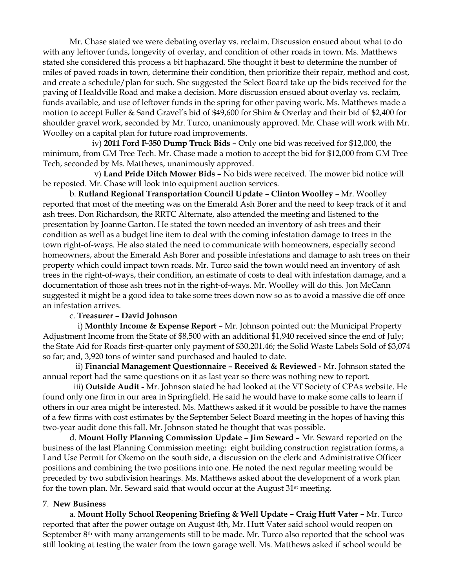Mr. Chase stated we were debating overlay vs. reclaim. Discussion ensued about what to do with any leftover funds, longevity of overlay, and condition of other roads in town. Ms. Matthews stated she considered this process a bit haphazard. She thought it best to determine the number of miles of paved roads in town, determine their condition, then prioritize their repair, method and cost, and create a schedule/plan for such. She suggested the Select Board take up the bids received for the paving of Healdville Road and make a decision. More discussion ensued about overlay vs. reclaim, funds available, and use of leftover funds in the spring for other paving work. Ms. Matthews made a motion to accept Fuller & Sand Gravel's bid of \$49,600 for Shim & Overlay and their bid of \$2,400 for shoulder gravel work, seconded by Mr. Turco, unanimously approved. Mr. Chase will work with Mr. Woolley on a capital plan for future road improvements.

 iv) **2011 Ford F-350 Dump Truck Bids –** Only one bid was received for \$12,000, the minimum, from GM Tree Tech. Mr. Chase made a motion to accept the bid for \$12,000 from GM Tree Tech, seconded by Ms. Matthews, unanimously approved.

 v) **Land Pride Ditch Mower Bids –** No bids were received. The mower bid notice will be reposted. Mr. Chase will look into equipment auction services.

b. **Rutland Regional Transportation Council Update – Clinton Woolley** – Mr. Woolley reported that most of the meeting was on the Emerald Ash Borer and the need to keep track of it and ash trees. Don Richardson, the RRTC Alternate, also attended the meeting and listened to the presentation by Joanne Garton. He stated the town needed an inventory of ash trees and their condition as well as a budget line item to deal with the coming infestation damage to trees in the town right-of-ways. He also stated the need to communicate with homeowners, especially second homeowners, about the Emerald Ash Borer and possible infestations and damage to ash trees on their property which could impact town roads. Mr. Turco said the town would need an inventory of ash trees in the right-of-ways, their condition, an estimate of costs to deal with infestation damage, and a documentation of those ash trees not in the right-of-ways. Mr. Woolley will do this. Jon McCann suggested it might be a good idea to take some trees down now so as to avoid a massive die off once an infestation arrives.

#### c. **Treasurer – David Johnson**

 i) **Monthly Income & Expense Report** – Mr. Johnson pointed out: the Municipal Property Adjustment Income from the State of \$8,500 with an additional \$1,940 received since the end of July; the State Aid for Roads first-quarter only payment of \$30,201.46; the Solid Waste Labels Sold of \$3,074 so far; and, 3,920 tons of winter sand purchased and hauled to date.

 ii) **Financial Management Questionnaire – Received & Reviewed -** Mr. Johnson stated the annual report had the same questions on it as last year so there was nothing new to report.

 iii) **Outside Audit -** Mr. Johnson stated he had looked at the VT Society of CPAs website. He found only one firm in our area in Springfield. He said he would have to make some calls to learn if others in our area might be interested. Ms. Matthews asked if it would be possible to have the names of a few firms with cost estimates by the September Select Board meeting in the hopes of having this two-year audit done this fall. Mr. Johnson stated he thought that was possible.

d. **Mount Holly Planning Commission Update – Jim Seward –** Mr. Seward reported on the business of the last Planning Commission meeting: eight building construction registration forms, a Land Use Permit for Okemo on the south side, a discussion on the clerk and Administrative Officer positions and combining the two positions into one. He noted the next regular meeting would be preceded by two subdivision hearings. Ms. Matthews asked about the development of a work plan for the town plan. Mr. Seward said that would occur at the August  $31<sup>st</sup>$  meeting.

#### 7. **New Business**

a. **Mount Holly School Reopening Briefing & Well Update – Craig Hutt Vater –** Mr. Turco reported that after the power outage on August 4th, Mr. Hutt Vater said school would reopen on September 8<sup>th</sup> with many arrangements still to be made. Mr. Turco also reported that the school was still looking at testing the water from the town garage well. Ms. Matthews asked if school would be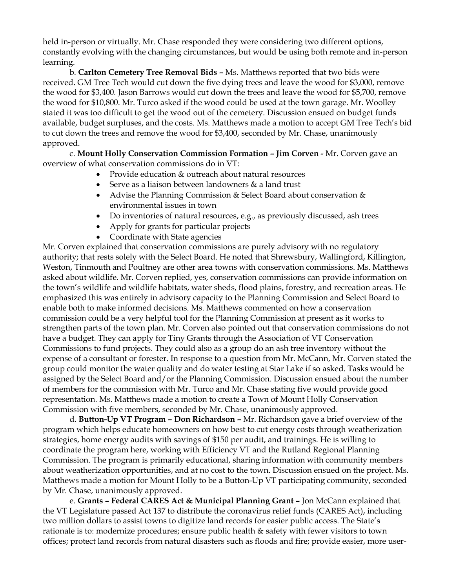held in-person or virtually. Mr. Chase responded they were considering two different options, constantly evolving with the changing circumstances, but would be using both remote and in-person learning.

b. **Carlton Cemetery Tree Removal Bids –** Ms. Matthews reported that two bids were received. GM Tree Tech would cut down the five dying trees and leave the wood for \$3,000, remove the wood for \$3,400. Jason Barrows would cut down the trees and leave the wood for \$5,700, remove the wood for \$10,800. Mr. Turco asked if the wood could be used at the town garage. Mr. Woolley stated it was too difficult to get the wood out of the cemetery. Discussion ensued on budget funds available, budget surpluses, and the costs. Ms. Matthews made a motion to accept GM Tree Tech's bid to cut down the trees and remove the wood for \$3,400, seconded by Mr. Chase, unanimously approved.

c. **Mount Holly Conservation Commission Formation – Jim Corven -** Mr. Corven gave an overview of what conservation commissions do in VT:

- Provide education & outreach about natural resources
- Serve as a liaison between landowners & a land trust
- Advise the Planning Commission & Select Board about conservation & environmental issues in town
- Do inventories of natural resources, e.g., as previously discussed, ash trees
- Apply for grants for particular projects
- Coordinate with State agencies

Mr. Corven explained that conservation commissions are purely advisory with no regulatory authority; that rests solely with the Select Board. He noted that Shrewsbury, Wallingford, Killington, Weston, Tinmouth and Poultney are other area towns with conservation commissions. Ms. Matthews asked about wildlife. Mr. Corven replied, yes, conservation commissions can provide information on the town's wildlife and wildlife habitats, water sheds, flood plains, forestry, and recreation areas. He emphasized this was entirely in advisory capacity to the Planning Commission and Select Board to enable both to make informed decisions. Ms. Matthews commented on how a conservation commission could be a very helpful tool for the Planning Commission at present as it works to strengthen parts of the town plan. Mr. Corven also pointed out that conservation commissions do not have a budget. They can apply for Tiny Grants through the Association of VT Conservation Commissions to fund projects. They could also as a group do an ash tree inventory without the expense of a consultant or forester. In response to a question from Mr. McCann, Mr. Corven stated the group could monitor the water quality and do water testing at Star Lake if so asked. Tasks would be assigned by the Select Board and/or the Planning Commission. Discussion ensued about the number of members for the commission with Mr. Turco and Mr. Chase stating five would provide good representation. Ms. Matthews made a motion to create a Town of Mount Holly Conservation Commission with five members, seconded by Mr. Chase, unanimously approved.

d. **Button-Up VT Program – Don Richardson –** Mr. Richardson gave a brief overview of the program which helps educate homeowners on how best to cut energy costs through weatherization strategies, home energy audits with savings of \$150 per audit, and trainings. He is willing to coordinate the program here, working with Efficiency VT and the Rutland Regional Planning Commission. The program is primarily educational, sharing information with community members about weatherization opportunities, and at no cost to the town. Discussion ensued on the project. Ms. Matthews made a motion for Mount Holly to be a Button-Up VT participating community, seconded by Mr. Chase, unanimously approved.

e. **Grants – Federal CARES Act & Municipal Planning Grant –** Jon McCann explained that the VT Legislature passed Act 137 to distribute the coronavirus relief funds (CARES Act), including two million dollars to assist towns to digitize land records for easier public access. The State's rationale is to: modernize procedures; ensure public health & safety with fewer visitors to town offices; protect land records from natural disasters such as floods and fire; provide easier, more user